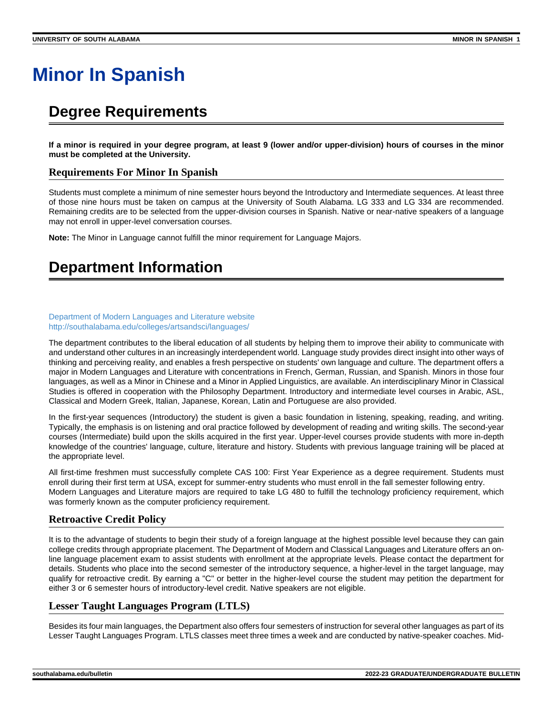# **Minor In Spanish**

# **Degree Requirements**

**If a minor is required in your degree program, at least 9 (lower and/or upper-division) hours of courses in the minor must be completed at the University.**

### **Requirements For Minor In Spanish**

Students must complete a minimum of nine semester hours beyond the Introductory and Intermediate sequences. At least three of those nine hours must be taken on campus at the University of South Alabama. LG 333 and LG 334 are recommended. Remaining credits are to be selected from the upper-division courses in Spanish. Native or near-native speakers of a language may not enroll in upper-level conversation courses.

**Note:** The Minor in Language cannot fulfill the minor requirement for Language Majors.

# **Department Information**

#### [Department of Modern Languages and Literature website](http://southalabama.edu/colleges/artsandsci/languages/) <http://southalabama.edu/colleges/artsandsci/languages/>

The department contributes to the liberal education of all students by helping them to improve their ability to communicate with and understand other cultures in an increasingly interdependent world. Language study provides direct insight into other ways of thinking and perceiving reality, and enables a fresh perspective on students' own language and culture. The department offers a major in Modern Languages and Literature with concentrations in French, German, Russian, and Spanish. Minors in those four languages, as well as a Minor in Chinese and a Minor in Applied Linguistics, are available. An interdisciplinary Minor in Classical Studies is offered in cooperation with the Philosophy Department. Introductory and intermediate level courses in Arabic, ASL, Classical and Modern Greek, Italian, Japanese, Korean, Latin and Portuguese are also provided.

In the first-year sequences (Introductory) the student is given a basic foundation in listening, speaking, reading, and writing. Typically, the emphasis is on listening and oral practice followed by development of reading and writing skills. The second-year courses (Intermediate) build upon the skills acquired in the first year. Upper-level courses provide students with more in-depth knowledge of the countries' language, culture, literature and history. Students with previous language training will be placed at the appropriate level.

All first-time freshmen must successfully complete CAS 100: First Year Experience as a degree requirement. Students must enroll during their first term at USA, except for summer-entry students who must enroll in the fall semester following entry. Modern Languages and Literature majors are required to take LG 480 to fulfill the technology proficiency requirement, which was formerly known as the computer proficiency requirement.

# **Retroactive Credit Policy**

It is to the advantage of students to begin their study of a foreign language at the highest possible level because they can gain college credits through appropriate placement. The Department of Modern and Classical Languages and Literature offers an online language placement exam to assist students with enrollment at the appropriate levels. Please contact the department for details. Students who place into the second semester of the introductory sequence, a higher-level in the target language, may qualify for retroactive credit. By earning a "C" or better in the higher-level course the student may petition the department for either 3 or 6 semester hours of introductory-level credit. Native speakers are not eligible.

# **Lesser Taught Languages Program (LTLS)**

Besides its four main languages, the Department also offers four semesters of instruction for several other languages as part of its Lesser Taught Languages Program. LTLS classes meet three times a week and are conducted by native-speaker coaches. Mid